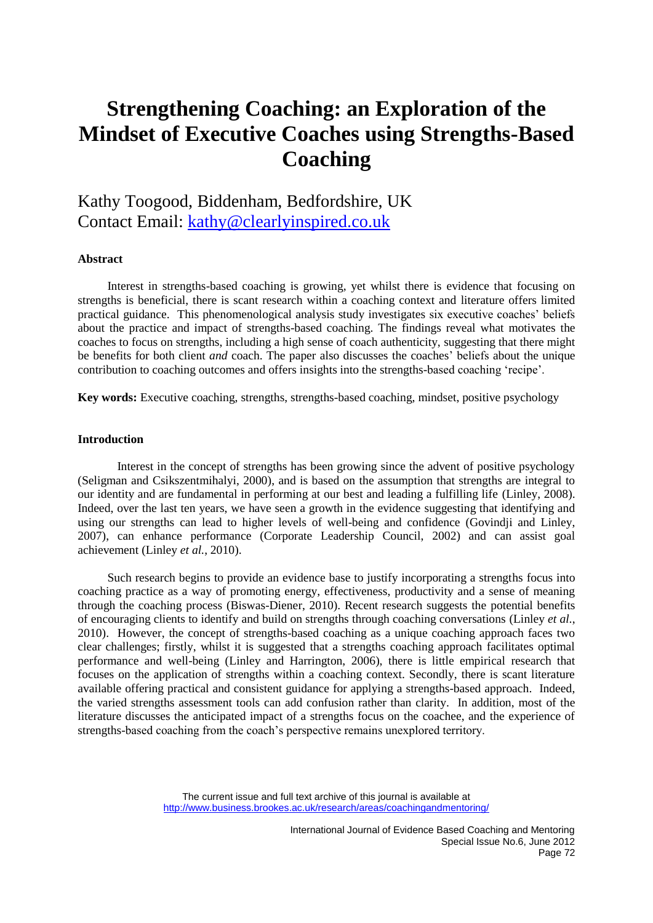# **Strengthening Coaching: an Exploration of the Mindset of Executive Coaches using Strengths-Based Coaching**

Kathy Toogood, Biddenham, Bedfordshire, UK Contact Email: [kathy@clearlyinspired.co.uk](mailto:kathy@clearlyinspired.co.uk)

# **Abstract**

Interest in strengths-based coaching is growing, yet whilst there is evidence that focusing on strengths is beneficial, there is scant research within a coaching context and literature offers limited practical guidance. This phenomenological analysis study investigates six executive coaches' beliefs about the practice and impact of strengths-based coaching. The findings reveal what motivates the coaches to focus on strengths, including a high sense of coach authenticity, suggesting that there might be benefits for both client *and* coach. The paper also discusses the coaches' beliefs about the unique contribution to coaching outcomes and offers insights into the strengths-based coaching 'recipe'.

**Key words:** Executive coaching, strengths, strengths-based coaching, mindset, positive psychology

# **Introduction**

Interest in the concept of strengths has been growing since the advent of positive psychology [\(Seligman and Csikszentmihalyi, 2000\)](#page-15-0), and is based on the assumption that strengths are integral to our identity and are fundamental in performing at our best and leading a fulfilling life [\(Linley, 2008\)](#page-14-0). Indeed, over the last ten years, we have seen a growth in the evidence suggesting that identifying and using our strengths can lead to higher levels of well-being and confidence [\(Govindji and Linley,](#page-14-1)  [2007\)](#page-14-1), can enhance performance [\(Corporate Leadership Council, 2002\)](#page-13-0) and can assist goal achievement [\(Linley](#page-14-2) *et al.*, 2010).

Such research begins to provide an evidence base to justify incorporating a strengths focus into coaching practice as a way of promoting energy, effectiveness, productivity and a sense of meaning through the coaching process [\(Biswas-Diener, 2010\)](#page-13-1). Recent research suggests the potential benefits of encouraging clients to identify and build on strengths through coaching conversations [\(Linley](#page-14-2) *et al.*, [2010\)](#page-14-2). However, the concept of strengths-based coaching as a unique coaching approach faces two clear challenges; firstly, whilst it is suggested that a strengths coaching approach facilitates optimal performance and well-being [\(Linley and Harrington, 2006\)](#page-14-3), there is little empirical research that focuses on the application of strengths within a coaching context. Secondly, there is scant literature available offering practical and consistent guidance for applying a strengths-based approach. Indeed, the varied strengths assessment tools can add confusion rather than clarity. In addition, most of the literature discusses the anticipated impact of a strengths focus on the coachee, and the experience of strengths-based coaching from the coach's perspective remains unexplored territory.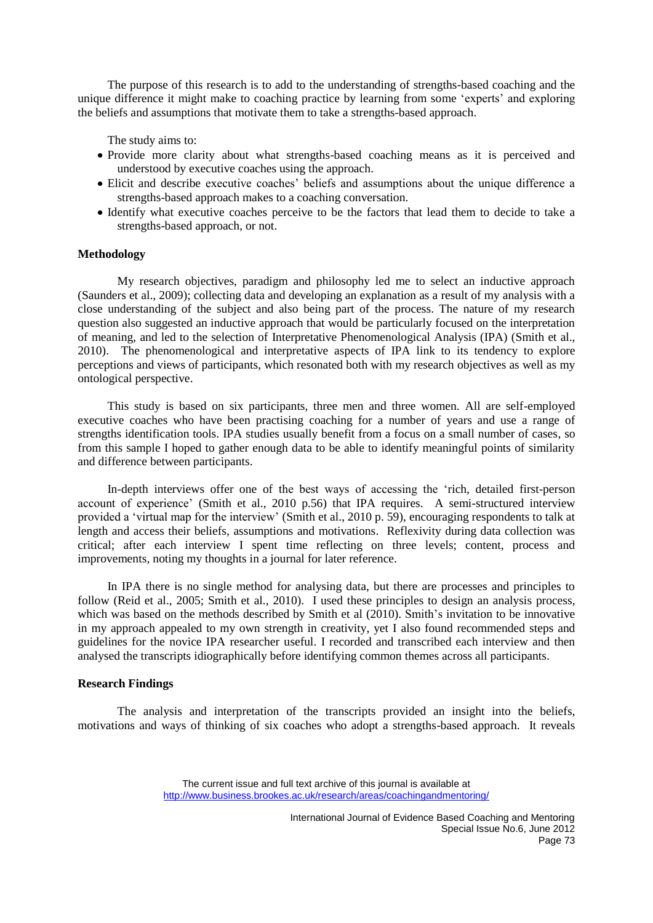The purpose of this research is to add to the understanding of strengths-based coaching and the unique difference it might make to coaching practice by learning from some 'experts' and exploring the beliefs and assumptions that motivate them to take a strengths-based approach.

The study aims to:

- Provide more clarity about what strengths-based coaching means as it is perceived and understood by executive coaches using the approach.
- Elicit and describe executive coaches' beliefs and assumptions about the unique difference a strengths-based approach makes to a coaching conversation.
- Identify what executive coaches perceive to be the factors that lead them to decide to take a strengths-based approach, or not.

## **Methodology**

My research objectives, paradigm and philosophy led me to select an inductive approach [\(Saunders et al., 2009\)](#page-15-1); collecting data and developing an explanation as a result of my analysis with a close understanding of the subject and also being part of the process. The nature of my research question also suggested an inductive approach that would be particularly focused on the interpretation of meaning, and led to the selection of Interpretative Phenomenological Analysis (IPA) [\(Smith et al.,](#page-15-2)  [2010\)](#page-15-2). The phenomenological and interpretative aspects of IPA link to its tendency to explore perceptions and views of participants, which resonated both with my research objectives as well as my ontological perspective.

This study is based on six participants, three men and three women. All are self-employed executive coaches who have been practising coaching for a number of years and use a range of strengths identification tools. IPA studies usually benefit from a focus on a small number of cases, so from this sample I hoped to gather enough data to be able to identify meaningful points of similarity and difference between participants.

In-depth interviews offer one of the best ways of accessing the 'rich, detailed first-person account of experience' [\(Smith et al., 2010 p.56\)](#page-15-2) that IPA requires. A semi-structured interview provided a 'virtual map for the interview' [\(Smith et al., 2010 p. 59\)](#page-15-2), encouraging respondents to talk at length and access their beliefs, assumptions and motivations. Reflexivity during data collection was critical; after each interview I spent time reflecting on three levels; content, process and improvements, noting my thoughts in a journal for later reference.

In IPA there is no single method for analysing data, but there are processes and principles to follow [\(Reid et al., 2005;](#page-14-4) [Smith et al., 2010\)](#page-15-2). I used these principles to design an analysis process, which was based on the methods described by Smith et al [\(2010\)](#page-15-2). Smith's invitation to be innovative in my approach appealed to my own strength in creativity, yet I also found recommended steps and guidelines for the novice IPA researcher useful. I recorded and transcribed each interview and then analysed the transcripts idiographically before identifying common themes across all participants.

## **Research Findings**

The analysis and interpretation of the transcripts provided an insight into the beliefs, motivations and ways of thinking of six coaches who adopt a strengths-based approach. It reveals

The current issue and full text archive of this journal is available at http://www.business.brookes.ac.uk/research/areas/coachingandmentoring/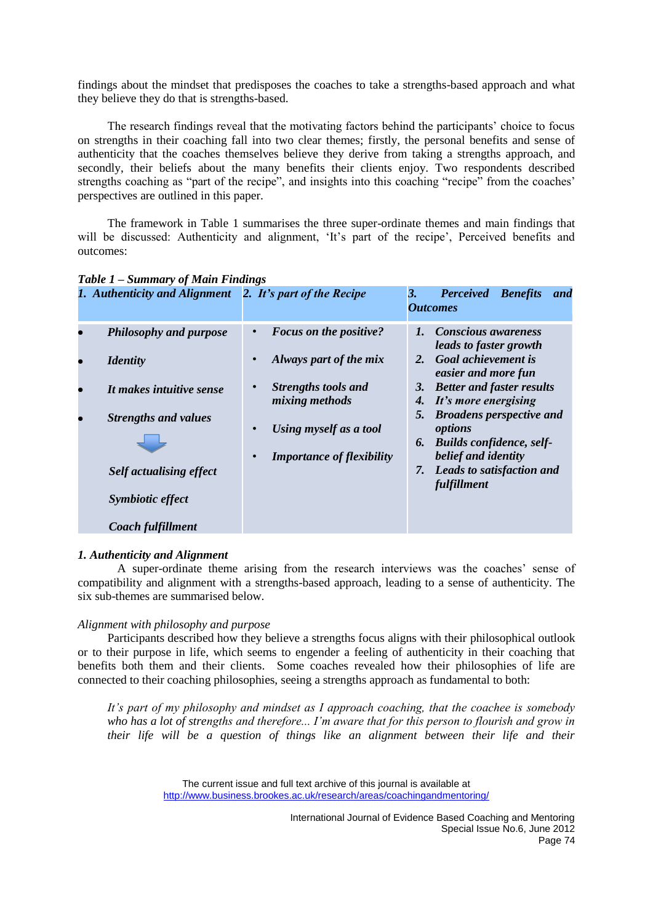findings about the mindset that predisposes the coaches to take a strengths-based approach and what they believe they do that is strengths-based.

The research findings reveal that the motivating factors behind the participants' choice to focus on strengths in their coaching fall into two clear themes; firstly, the personal benefits and sense of authenticity that the coaches themselves believe they derive from taking a strengths approach, and secondly, their beliefs about the many benefits their clients enjoy. Two respondents described strengths coaching as "part of the recipe", and insights into this coaching "recipe" from the coaches' perspectives are outlined in this paper.

The framework in Table 1 summarises the three super-ordinate themes and main findings that will be discussed: Authenticity and alignment, 'It's part of the recipe', Perceived benefits and outcomes:

| 1. Authenticity and Alignment 2. It's part of the Recipe                                                                                                                               |                                                                                                                                                                             | 3.<br><b>Perceived</b><br><b>Benefits</b><br>and<br><i><b>Outcomes</b></i>                                                                                                                                                                                                                                                                                                      |
|----------------------------------------------------------------------------------------------------------------------------------------------------------------------------------------|-----------------------------------------------------------------------------------------------------------------------------------------------------------------------------|---------------------------------------------------------------------------------------------------------------------------------------------------------------------------------------------------------------------------------------------------------------------------------------------------------------------------------------------------------------------------------|
| <b>Philosophy and purpose</b><br><b>Identity</b><br>It makes intuitive sense<br><b>Strengths and values</b><br><b>Self actualising effect</b><br>Symbiotic effect<br>Coach fulfillment | Focus on the positive?<br>Always part of the mix<br>Strengths tools and<br><i>mixing methods</i><br>Using myself as a tool<br>$\bullet$<br><b>Importance of flexibility</b> | Conscious awareness<br>$\mathbf{I}$ .<br><i>leads to faster growth</i><br>Goal achievement is<br>2.<br>easier and more fun<br><b>Better and faster results</b><br>3.<br>It's more energising<br>4.<br><b>Broadens perspective and</b><br>5.<br>options<br><b>Builds confidence, self-</b><br>6.<br>belief and identity<br><b>Leads to satisfaction and</b><br>7.<br>fulfillment |
|                                                                                                                                                                                        |                                                                                                                                                                             |                                                                                                                                                                                                                                                                                                                                                                                 |

# *Table 1 – Summary of Main Findings*

# *1. Authenticity and Alignment*

A super-ordinate theme arising from the research interviews was the coaches' sense of compatibility and alignment with a strengths-based approach, leading to a sense of authenticity. The six sub-themes are summarised below.

# *Alignment with philosophy and purpose*

Participants described how they believe a strengths focus aligns with their philosophical outlook or to their purpose in life, which seems to engender a feeling of authenticity in their coaching that benefits both them and their clients. Some coaches revealed how their philosophies of life are connected to their coaching philosophies, seeing a strengths approach as fundamental to both:

*It's part of my philosophy and mindset as I approach coaching, that the coachee is somebody who has a lot of strengths and therefore... I'm aware that for this person to flourish and grow in their life will be a question of things like an alignment between their life and their* 

> The current issue and full text archive of this journal is available at http://www.business.brookes.ac.uk/research/areas/coachingandmentoring/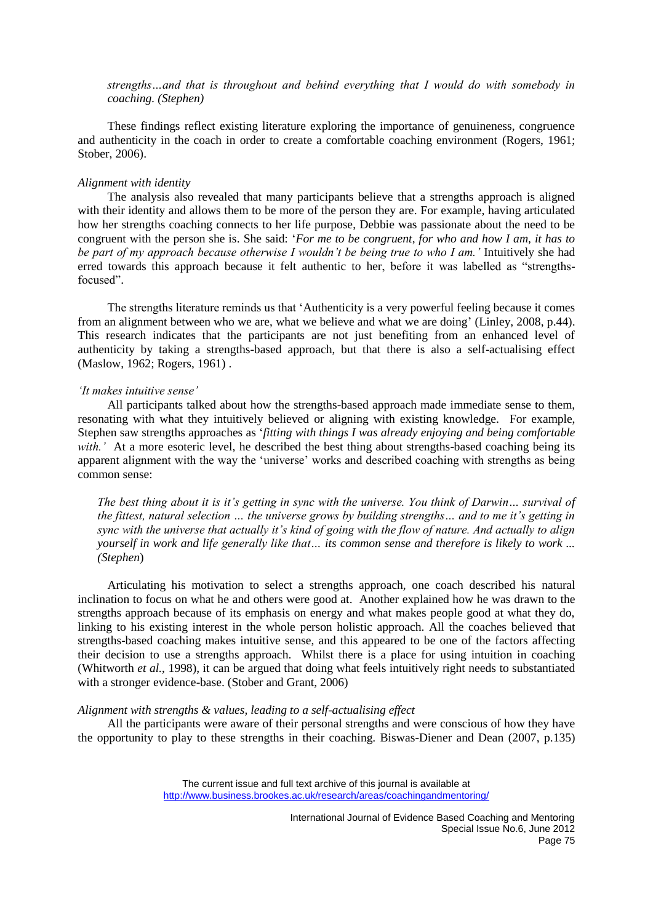*strengths…and that is throughout and behind everything that I would do with somebody in coaching. (Stephen)*

These findings reflect existing literature exploring the importance of genuineness, congruence and authenticity in the coach in order to create a comfortable coaching environment [\(Rogers, 1961;](#page-14-5) [Stober, 2006\)](#page-15-3).

#### *Alignment with identity*

The analysis also revealed that many participants believe that a strengths approach is aligned with their identity and allows them to be more of the person they are. For example, having articulated how her strengths coaching connects to her life purpose, Debbie was passionate about the need to be congruent with the person she is. She said: '*For me to be congruent, for who and how I am, it has to be part of my approach because otherwise I wouldn't be being true to who I am.'* Intuitively she had erred towards this approach because it felt authentic to her, before it was labelled as "strengthsfocused".

The strengths literature reminds us that 'Authenticity is a very powerful feeling because it comes from an alignment between who we are, what we believe and what we are doing' [\(Linley, 2008,](#page-14-0) p.44). This research indicates that the participants are not just benefiting from an enhanced level of authenticity by taking a strengths-based approach, but that there is also a self-actualising effect [\(Maslow, 1962;](#page-14-6) [Rogers, 1961\)](#page-14-5) .

#### *'It makes intuitive sense'*

All participants talked about how the strengths-based approach made immediate sense to them, resonating with what they intuitively believed or aligning with existing knowledge. For example, Stephen saw strengths approaches as '*fitting with things I was already enjoying and being comfortable with.'* At a more esoteric level, he described the best thing about strengths-based coaching being its apparent alignment with the way the 'universe' works and described coaching with strengths as being common sense:

*The best thing about it is it's getting in sync with the universe. You think of Darwin… survival of the fittest, natural selection … the universe grows by building strengths… and to me it's getting in sync with the universe that actually it's kind of going with the flow of nature. And actually to align yourself in work and life generally like that… its common sense and therefore is likely to work ... (Stephen*)

Articulating his motivation to select a strengths approach, one coach described his natural inclination to focus on what he and others were good at. Another explained how he was drawn to the strengths approach because of its emphasis on energy and what makes people good at what they do, linking to his existing interest in the whole person holistic approach. All the coaches believed that strengths-based coaching makes intuitive sense, and this appeared to be one of the factors affecting their decision to use a strengths approach. Whilst there is a place for using intuition in coaching [\(Whitworth](#page-15-4) *et al.*, 1998), it can be argued that doing what feels intuitively right needs to substantiated with a stronger evidence-base. [\(Stober and Grant, 2006\)](#page-15-5)

#### *Alignment with strengths & values, leading to a self-actualising effect*

All the participants were aware of their personal strengths and were conscious of how they have the opportunity to play to these strengths in their coaching. Biswas-Diener and Dean [\(2007, p.135\)](#page-13-2)

> The current issue and full text archive of this journal is available at http://www.business.brookes.ac.uk/research/areas/coachingandmentoring/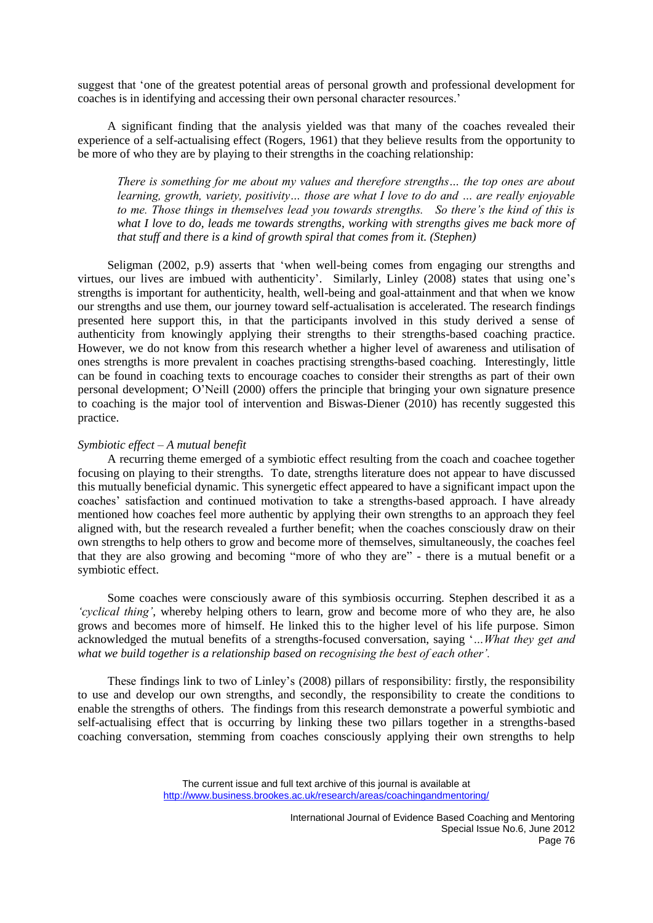suggest that 'one of the greatest potential areas of personal growth and professional development for coaches is in identifying and accessing their own personal character resources.'

A significant finding that the analysis yielded was that many of the coaches revealed their experience of a self-actualising effect [\(Rogers, 1961\)](#page-14-5) that they believe results from the opportunity to be more of who they are by playing to their strengths in the coaching relationship:

*There is something for me about my values and therefore strengths… the top ones are about learning, growth, variety, positivity… those are what I love to do and … are really enjoyable to me. Those things in themselves lead you towards strengths. So there's the kind of this is*  what I love to do, leads me towards strengths, working with strengths gives me back more of *that stuff and there is a kind of growth spiral that comes from it. (Stephen)*

Seligman [\(2002, p.9\)](#page-15-6) asserts that 'when well-being comes from engaging our strengths and virtues, our lives are imbued with authenticity'. Similarly, Linley [\(2008\)](#page-14-0) states that using one's strengths is important for authenticity, health, well-being and goal-attainment and that when we know our strengths and use them, our journey toward self-actualisation is accelerated. The research findings presented here support this, in that the participants involved in this study derived a sense of authenticity from knowingly applying their strengths to their strengths-based coaching practice. However, we do not know from this research whether a higher level of awareness and utilisation of ones strengths is more prevalent in coaches practising strengths-based coaching. Interestingly, little can be found in coaching texts to encourage coaches to consider their strengths as part of their own personal development; O'Neill (2000) offers the principle that bringing your own signature presence to coaching is the major tool of intervention and Biswas-Diener [\(2010\)](#page-13-1) has recently suggested this practice.

#### *Symbiotic effect – A mutual benefit*

A recurring theme emerged of a symbiotic effect resulting from the coach and coachee together focusing on playing to their strengths. To date, strengths literature does not appear to have discussed this mutually beneficial dynamic. This synergetic effect appeared to have a significant impact upon the coaches' satisfaction and continued motivation to take a strengths-based approach. I have already mentioned how coaches feel more authentic by applying their own strengths to an approach they feel aligned with, but the research revealed a further benefit; when the coaches consciously draw on their own strengths to help others to grow and become more of themselves, simultaneously, the coaches feel that they are also growing and becoming "more of who they are" - there is a mutual benefit or a symbiotic effect.

Some coaches were consciously aware of this symbiosis occurring. Stephen described it as a *'cyclical thing'*, whereby helping others to learn, grow and become more of who they are, he also grows and becomes more of himself. He linked this to the higher level of his life purpose. Simon acknowledged the mutual benefits of a strengths-focused conversation, saying '*…What they get and what we build together is a relationship based on recognising the best of each other'.*

These findings link to two of Linley's [\(2008\)](#page-14-0) pillars of responsibility: firstly, the responsibility to use and develop our own strengths, and secondly, the responsibility to create the conditions to enable the strengths of others. The findings from this research demonstrate a powerful symbiotic and self-actualising effect that is occurring by linking these two pillars together in a strengths-based coaching conversation, stemming from coaches consciously applying their own strengths to help

The current issue and full text archive of this journal is available at http://www.business.brookes.ac.uk/research/areas/coachingandmentoring/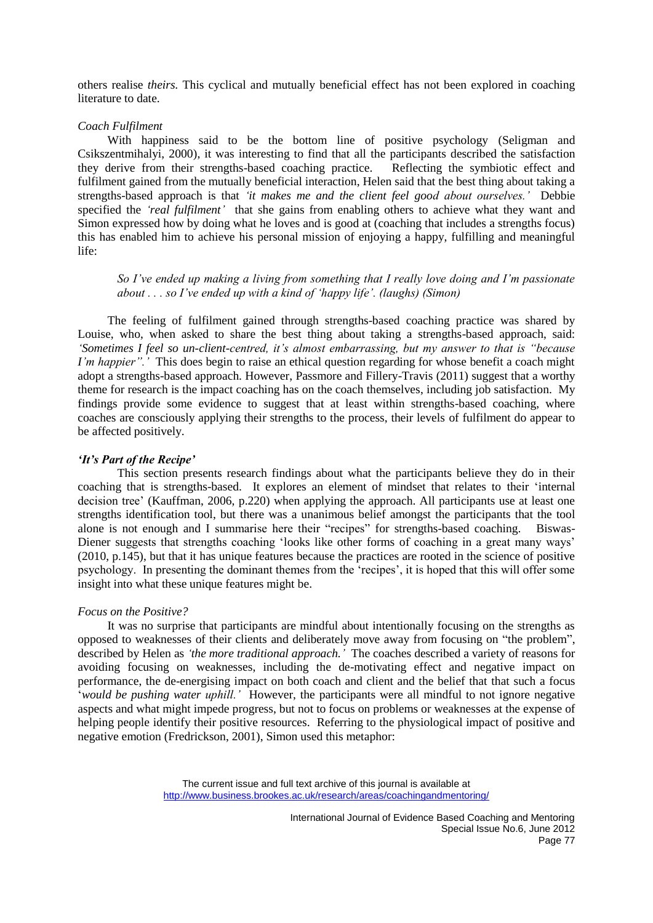others realise *theirs.* This cyclical and mutually beneficial effect has not been explored in coaching literature to date.

## *Coach Fulfilment*

With happiness said to be the bottom line of positive psychology (Seligman and [Csikszentmihalyi, 2000\)](#page-15-0), it was interesting to find that all the participants described the satisfaction they derive from their strengths-based coaching practice. Reflecting the symbiotic effect and fulfilment gained from the mutually beneficial interaction, Helen said that the best thing about taking a strengths-based approach is that *'it makes me and the client feel good about ourselves.'* Debbie specified the *'real fulfilment'* that she gains from enabling others to achieve what they want and Simon expressed how by doing what he loves and is good at (coaching that includes a strengths focus) this has enabled him to achieve his personal mission of enjoying a happy, fulfilling and meaningful life:

*So I've ended up making a living from something that I really love doing and I'm passionate about . . . so I've ended up with a kind of 'happy life'. (laughs) (Simon)*

The feeling of fulfilment gained through strengths-based coaching practice was shared by Louise, who, when asked to share the best thing about taking a strengths-based approach, said: *'Sometimes I feel so un-client-centred, it's almost embarrassing, but my answer to that is "because I'm happier".'* This does begin to raise an ethical question regarding for whose benefit a coach might adopt a strengths-based approach. However, Passmore and Fillery-Travis [\(2011\)](#page-14-7) suggest that a worthy theme for research is the impact coaching has on the coach themselves, including job satisfaction. My findings provide some evidence to suggest that at least within strengths-based coaching, where coaches are consciously applying their strengths to the process, their levels of fulfilment do appear to be affected positively.

# *'It's Part of the Recipe'*

This section presents research findings about what the participants believe they do in their coaching that is strengths-based. It explores an element of mindset that relates to their 'internal decision tree' [\(Kauffman, 2006, p.220\)](#page-14-8) when applying the approach. All participants use at least one strengths identification tool, but there was a unanimous belief amongst the participants that the tool alone is not enough and I summarise here their "recipes" for strengths-based coaching. Biswas-Diener suggests that strengths coaching 'looks like other forms of coaching in a great many ways' [\(2010, p.145\)](#page-13-1), but that it has unique features because the practices are rooted in the science of positive psychology. In presenting the dominant themes from the 'recipes', it is hoped that this will offer some insight into what these unique features might be.

## *Focus on the Positive?*

It was no surprise that participants are mindful about intentionally focusing on the strengths as opposed to weaknesses of their clients and deliberately move away from focusing on "the problem", described by Helen as *'the more traditional approach.'* The coaches described a variety of reasons for avoiding focusing on weaknesses, including the de-motivating effect and negative impact on performance, the de-energising impact on both coach and client and the belief that that such a focus '*would be pushing water uphill.'* However, the participants were all mindful to not ignore negative aspects and what might impede progress, but not to focus on problems or weaknesses at the expense of helping people identify their positive resources. Referring to the physiological impact of positive and negative emotion [\(Fredrickson, 2001\)](#page-14-9), Simon used this metaphor: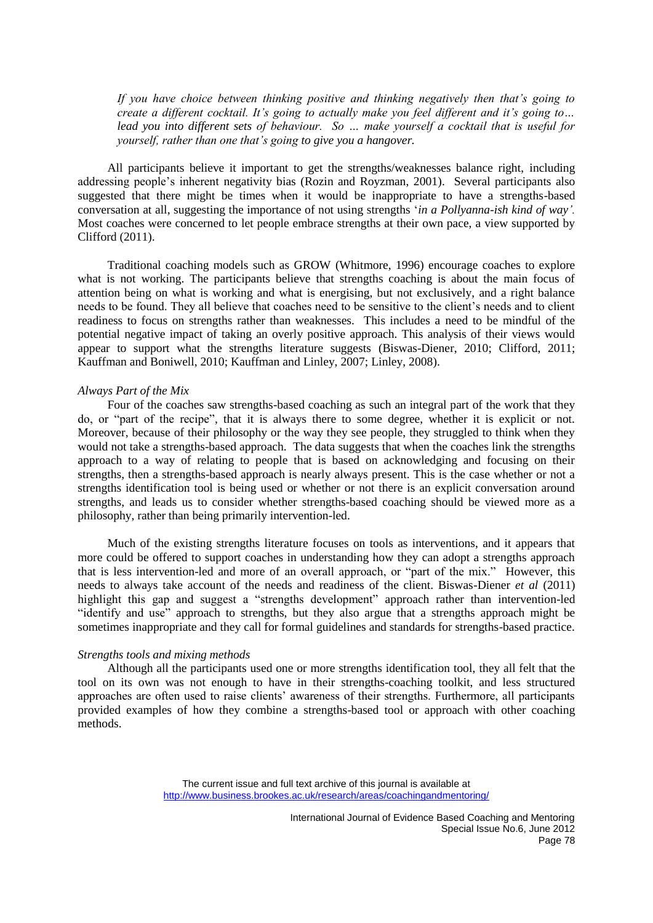*If you have choice between thinking positive and thinking negatively then that's going to create a different cocktail. It's going to actually make you feel different and it's going to… lead you into different sets of behaviour. So … make yourself a cocktail that is useful for yourself, rather than one that's going to give you a hangover.* 

All participants believe it important to get the strengths/weaknesses balance right, including addressing people's inherent negativity bias [\(Rozin and Royzman, 2001\)](#page-15-7). Several participants also suggested that there might be times when it would be inappropriate to have a strengths-based conversation at all, suggesting the importance of not using strengths '*in a Pollyanna-ish kind of way'.*  Most coaches were concerned to let people embrace strengths at their own pace, a view supported by Clifford [\(2011\)](#page-13-3).

Traditional coaching models such as GROW [\(Whitmore, 1996\)](#page-15-8) encourage coaches to explore what is not working. The participants believe that strengths coaching is about the main focus of attention being on what is working and what is energising, but not exclusively, and a right balance needs to be found. They all believe that coaches need to be sensitive to the client's needs and to client readiness to focus on strengths rather than weaknesses. This includes a need to be mindful of the potential negative impact of taking an overly positive approach. This analysis of their views would appear to support what the strengths literature suggests [\(Biswas-Diener, 2010;](#page-13-1) [Clifford, 2011;](#page-13-3) [Kauffman and Boniwell, 2010;](#page-14-10) [Kauffman and Linley, 2007;](#page-14-11) [Linley, 2008\)](#page-14-0).

#### *Always Part of the Mix*

Four of the coaches saw strengths-based coaching as such an integral part of the work that they do, or "part of the recipe", that it is always there to some degree, whether it is explicit or not. Moreover, because of their philosophy or the way they see people, they struggled to think when they would not take a strengths-based approach.The data suggests that when the coaches link the strengths approach to a way of relating to people that is based on acknowledging and focusing on their strengths, then a strengths-based approach is nearly always present. This is the case whether or not a strengths identification tool is being used or whether or not there is an explicit conversation around strengths, and leads us to consider whether strengths-based coaching should be viewed more as a philosophy, rather than being primarily intervention-led.

Much of the existing strengths literature focuses on tools as interventions, and it appears that more could be offered to support coaches in understanding how they can adopt a strengths approach that is less intervention-led and more of an overall approach, or "part of the mix." However, this needs to always take account of the needs and readiness of the client. Biswas-Diener *et al* [\(2011\)](#page-13-4) highlight this gap and suggest a "strengths development" approach rather than intervention-led "identify and use" approach to strengths, but they also argue that a strengths approach might be sometimes inappropriate and they call for formal guidelines and standards for strengths-based practice.

## *Strengths tools and mixing methods*

Although all the participants used one or more strengths identification tool, they all felt that the tool on its own was not enough to have in their strengths-coaching toolkit, and less structured approaches are often used to raise clients' awareness of their strengths. Furthermore, all participants provided examples of how they combine a strengths-based tool or approach with other coaching methods.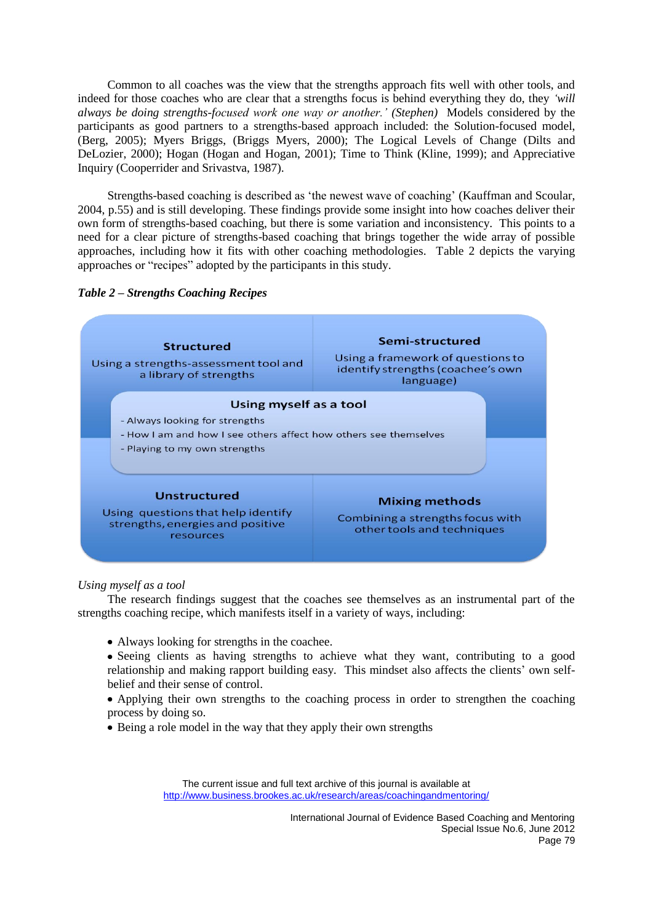Common to all coaches was the view that the strengths approach fits well with other tools, and indeed for those coaches who are clear that a strengths focus is behind everything they do, they *'will always be doing strengths-focused work one way or another.' (Stephen)* Models considered by the participants as good partners to a strengths-based approach included: the Solution-focused model, [\(Berg, 2005\)](#page-13-5); Myers Briggs, [\(Briggs Myers, 2000\)](#page-13-6); The Logical Levels of Change [\(Dilts and](#page-13-7)  [DeLozier, 2000\)](#page-13-7); Hogan [\(Hogan and Hogan, 2001\)](#page-14-12); Time to Think [\(Kline, 1999\)](#page-14-13); and Appreciative Inquiry [\(Cooperrider and Srivastva, 1987\)](#page-13-8).

Strengths-based coaching is described as 'the newest wave of coaching' [\(Kauffman and Scoular,](#page-14-14)  [2004, p.55\)](#page-14-14) and is still developing. These findings provide some insight into how coaches deliver their own form of strengths-based coaching, but there is some variation and inconsistency. This points to a need for a clear picture of strengths-based coaching that brings together the wide array of possible approaches, including how it fits with other coaching methodologies. Table 2 depicts the varying approaches or "recipes" adopted by the participants in this study.





# *Using myself as a tool*

The research findings suggest that the coaches see themselves as an instrumental part of the strengths coaching recipe, which manifests itself in a variety of ways, including:

- Always looking for strengths in the coachee.
- Seeing clients as having strengths to achieve what they want, contributing to a good relationship and making rapport building easy*.* This mindset also affects the clients' own selfbelief and their sense of control.

• Applying their own strengths to the coaching process in order to strengthen the coaching process by doing so.

• Being a role model in the way that they apply their own strengths

The current issue and full text archive of this journal is available at http://www.business.brookes.ac.uk/research/areas/coachingandmentoring/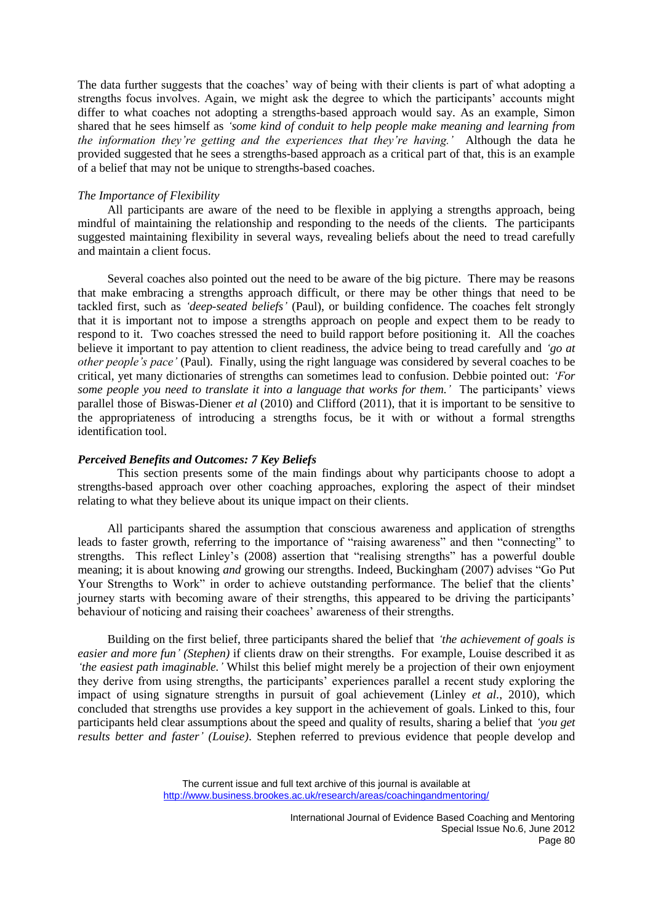The data further suggests that the coaches' way of being with their clients is part of what adopting a strengths focus involves. Again, we might ask the degree to which the participants' accounts might differ to what coaches not adopting a strengths-based approach would say. As an example, Simon shared that he sees himself as *'some kind of conduit to help people make meaning and learning from the information they're getting and the experiences that they're having.'* Although the data he provided suggested that he sees a strengths-based approach as a critical part of that, this is an example of a belief that may not be unique to strengths-based coaches.

## *The Importance of Flexibility*

All participants are aware of the need to be flexible in applying a strengths approach, being mindful of maintaining the relationship and responding to the needs of the clients. The participants suggested maintaining flexibility in several ways, revealing beliefs about the need to tread carefully and maintain a client focus.

Several coaches also pointed out the need to be aware of the big picture. There may be reasons that make embracing a strengths approach difficult, or there may be other things that need to be tackled first, such as *'deep-seated beliefs'* (Paul), or building confidence. The coaches felt strongly that it is important not to impose a strengths approach on people and expect them to be ready to respond to it. Two coaches stressed the need to build rapport before positioning it. All the coaches believe it important to pay attention to client readiness, the advice being to tread carefully and *'go at other people's pace'* (Paul). Finally, using the right language was considered by several coaches to be critical, yet many dictionaries of strengths can sometimes lead to confusion. Debbie pointed out: *'For some people you need to translate it into a language that works for them.'* The participants' views parallel those of Biswas-Diener *et al* [\(2010\)](#page-13-1) and Clifford [\(2011\)](#page-13-3), that it is important to be sensitive to the appropriateness of introducing a strengths focus, be it with or without a formal strengths identification tool.

#### *Perceived Benefits and Outcomes: 7 Key Beliefs*

This section presents some of the main findings about why participants choose to adopt a strengths-based approach over other coaching approaches, exploring the aspect of their mindset relating to what they believe about its unique impact on their clients.

All participants shared the assumption that conscious awareness and application of strengths leads to faster growth, referring to the importance of "raising awareness" and then "connecting" to strengths.This reflect Linley's [\(2008\)](#page-14-0) assertion that "realising strengths" has a powerful double meaning; it is about knowing *and* growing our strengths. Indeed, Buckingham [\(2007\)](#page-13-9) advises "Go Put Your Strengths to Work" in order to achieve outstanding performance. The belief that the clients' journey starts with becoming aware of their strengths, this appeared to be driving the participants' behaviour of noticing and raising their coachees' awareness of their strengths.

Building on the first belief, three participants shared the belief that *'the achievement of goals is easier and more fun' (Stephen)* if clients draw on their strengths. For example, Louise described it as *'the easiest path imaginable.'* Whilst this belief might merely be a projection of their own enjoyment they derive from using strengths, the participants' experiences parallel a recent study exploring the impact of using signature strengths in pursuit of goal achievement (Linley *et al.*[, 2010\)](#page-14-2), which concluded that strengths use provides a key support in the achievement of goals. Linked to this, four participants held clear assumptions about the speed and quality of results, sharing a belief that *'you get results better and faster' (Louise)*. Stephen referred to previous evidence that people develop and

The current issue and full text archive of this journal is available at http://www.business.brookes.ac.uk/research/areas/coachingandmentoring/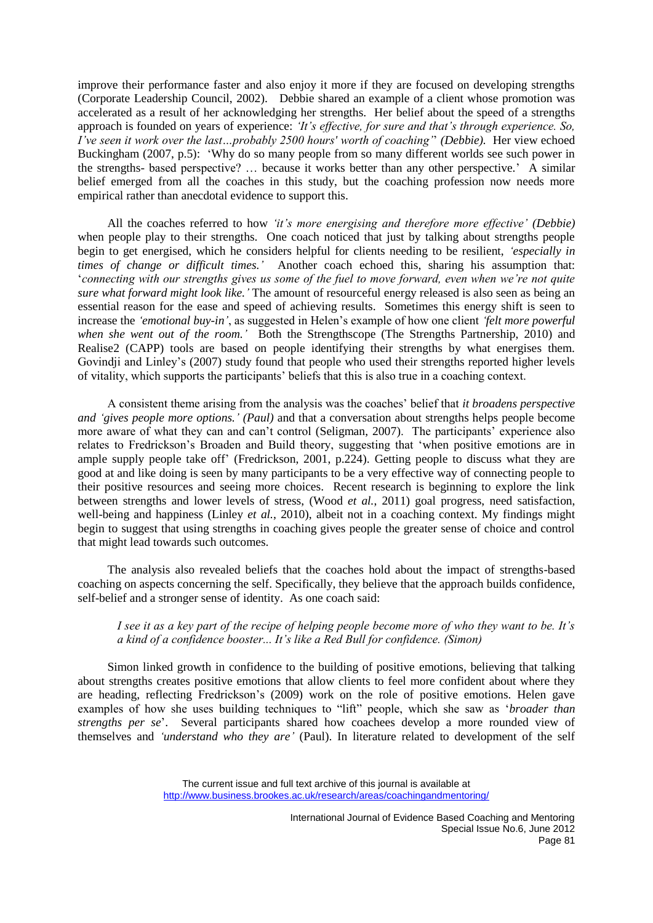improve their performance faster and also enjoy it more if they are focused on developing strengths [\(Corporate Leadership Council, 2002\)](#page-13-0). Debbie shared an example of a client whose promotion was accelerated as a result of her acknowledging her strengths. Her belief about the speed of a strengths approach is founded on years of experience: *'It's effective, for sure and that's through experience. So, I've seen it work over the last…probably 2500 hours' worth of coaching'*' *(Debbie).* Her view echoed Buckingham (2007, p.5): 'Why do so many people from so many different worlds see such power in the strengths- based perspective? … because it works better than any other perspective.' A similar belief emerged from all the coaches in this study, but the coaching profession now needs more empirical rather than anecdotal evidence to support this.

All the coaches referred to how *'it's more energising and therefore more effective' (Debbie)*  when people play to their strengths. One coach noticed that just by talking about strengths people begin to get energised, which he considers helpful for clients needing to be resilient, *'especially in times of change or difficult times.'* Another coach echoed this, sharing his assumption that: '*connecting with our strengths gives us some of the fuel to move forward, even when we're not quite sure what forward might look like.'* The amount of resourceful energy released is also seen as being an essential reason for the ease and speed of achieving results. Sometimes this energy shift is seen to increase the *'emotional buy-in'*, as suggested in Helen's example of how one client *'felt more powerful*  when she went out of the room.' Both the Strengthscope [\(The Strengths Partnership, 2010\)](#page-15-9) and Realise2 [\(CAPP\)](#page-13-10) tools are based on people identifying their strengths by what energises them. Govindji and Linley's [\(2007\)](#page-14-1) study found that people who used their strengths reported higher levels of vitality, which supports the participants' beliefs that this is also true in a coaching context.

A consistent theme arising from the analysis was the coaches' belief that *it broadens perspective and 'gives people more options.' (Paul)* and that a conversation about strengths helps people become more aware of what they can and can't control [\(Seligman, 2007\)](#page-15-10). The participants' experience also relates to Fredrickson's Broaden and Build theory, suggesting that 'when positive emotions are in ample supply people take off' [\(Fredrickson, 2001, p.224\)](#page-14-9). Getting people to discuss what they are good at and like doing is seen by many participants to be a very effective way of connecting people to their positive resources and seeing more choices. Recent research is beginning to explore the link between strengths and lower levels of stress, (Wood *et al.*[, 2011\)](#page-15-11) goal progress, need satisfaction, well-being and happiness [\(Linley](#page-14-2) *et al.*, 2010), albeit not in a coaching context. My findings might begin to suggest that using strengths in coaching gives people the greater sense of choice and control that might lead towards such outcomes.

The analysis also revealed beliefs that the coaches hold about the impact of strengths-based coaching on aspects concerning the self. Specifically, they believe that the approach builds confidence, self-belief and a stronger sense of identity. As one coach said:

# *I see it as a key part of the recipe of helping people become more of who they want to be. It's a kind of a confidence booster... It's like a Red Bull for confidence. (Simon)*

Simon linked growth in confidence to the building of positive emotions, believing that talking about strengths creates positive emotions that allow clients to feel more confident about where they are heading, reflecting Fredrickson's [\(2009\)](#page-14-15) work on the role of positive emotions. Helen gave examples of how she uses building techniques to "lift" people, which she saw as '*broader than strengths per se*'. Several participants shared how coachees develop a more rounded view of themselves and *'understand who they are'* (Paul). In literature related to development of the self

The current issue and full text archive of this journal is available at http://www.business.brookes.ac.uk/research/areas/coachingandmentoring/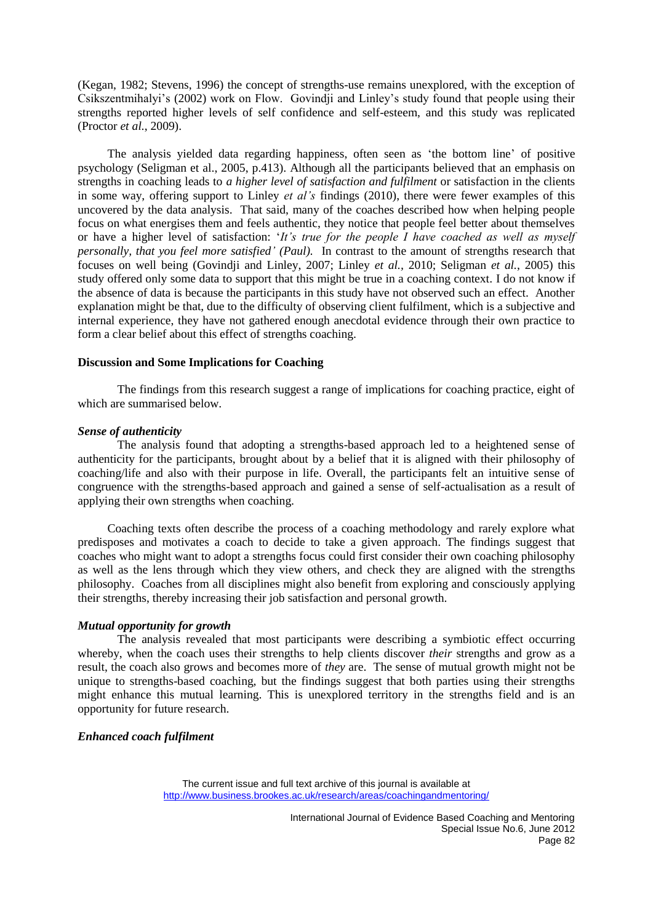[\(Kegan, 1982;](#page-14-16) [Stevens, 1996\)](#page-15-12) the concept of strengths-use remains unexplored, with the exception of Csikszentmihalyi's [\(2002\)](#page-13-11) work on Flow. Govindji and Linley's study found that people using their strengths reported higher levels of self confidence and self-esteem, and this study was replicated [\(Proctor](#page-14-17) *et al.*, 2009).

The analysis yielded data regarding happiness, often seen as 'the bottom line' of positive psychology (Seligman [et al., 2005, p.413\)](#page-15-13). Although all the participants believed that an emphasis on strengths in coaching leads to *a higher level of satisfaction and fulfilment* or satisfaction in the clients in some way, offering support to Linley *et al's* findings [\(2010\)](#page-14-2), there were fewer examples of this uncovered by the data analysis. That said, many of the coaches described how when helping people focus on what energises them and feels authentic, they notice that people feel better about themselves or have a higher level of satisfaction: '*It's true for the people I have coached as well as myself personally, that you feel more satisfied' (Paul).* In contrast to the amount of strengths research that focuses on well being [\(Govindji and Linley, 2007;](#page-14-1) [Linley](#page-14-2) *et al.,* 2010; [Seligman](#page-15-13) *et al.*, 2005) this study offered only some data to support that this might be true in a coaching context. I do not know if the absence of data is because the participants in this study have not observed such an effect. Another explanation might be that, due to the difficulty of observing client fulfilment, which is a subjective and internal experience, they have not gathered enough anecdotal evidence through their own practice to form a clear belief about this effect of strengths coaching.

## **Discussion and Some Implications for Coaching**

The findings from this research suggest a range of implications for coaching practice, eight of which are summarised below.

## *Sense of authenticity*

The analysis found that adopting a strengths-based approach led to a heightened sense of authenticity for the participants, brought about by a belief that it is aligned with their philosophy of coaching/life and also with their purpose in life. Overall, the participants felt an intuitive sense of congruence with the strengths-based approach and gained a sense of self-actualisation as a result of applying their own strengths when coaching.

Coaching texts often describe the process of a coaching methodology and rarely explore what predisposes and motivates a coach to decide to take a given approach. The findings suggest that coaches who might want to adopt a strengths focus could first consider their own coaching philosophy as well as the lens through which they view others, and check they are aligned with the strengths philosophy. Coaches from all disciplines might also benefit from exploring and consciously applying their strengths, thereby increasing their job satisfaction and personal growth.

# *Mutual opportunity for growth*

The analysis revealed that most participants were describing a symbiotic effect occurring whereby, when the coach uses their strengths to help clients discover *their* strengths and grow as a result, the coach also grows and becomes more of *they* are. The sense of mutual growth might not be unique to strengths-based coaching, but the findings suggest that both parties using their strengths might enhance this mutual learning. This is unexplored territory in the strengths field and is an opportunity for future research.

# *Enhanced coach fulfilment*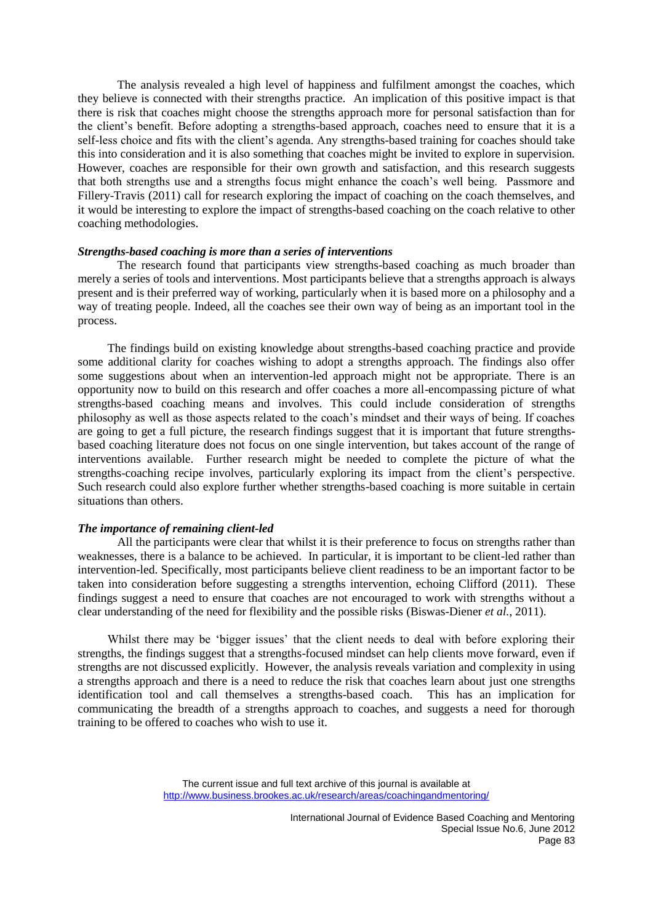The analysis revealed a high level of happiness and fulfilment amongst the coaches, which they believe is connected with their strengths practice. An implication of this positive impact is that there is risk that coaches might choose the strengths approach more for personal satisfaction than for the client's benefit. Before adopting a strengths-based approach, coaches need to ensure that it is a self-less choice and fits with the client's agenda. Any strengths-based training for coaches should take this into consideration and it is also something that coaches might be invited to explore in supervision. However, coaches are responsible for their own growth and satisfaction, and this research suggests that both strengths use and a strengths focus might enhance the coach's well being. Passmore and Fillery-Travis [\(2011\)](#page-14-7) call for research exploring the impact of coaching on the coach themselves, and it would be interesting to explore the impact of strengths-based coaching on the coach relative to other coaching methodologies.

## *Strengths-based coaching is more than a series of interventions*

The research found that participants view strengths-based coaching as much broader than merely a series of tools and interventions. Most participants believe that a strengths approach is always present and is their preferred way of working, particularly when it is based more on a philosophy and a way of treating people. Indeed, all the coaches see their own way of being as an important tool in the process.

The findings build on existing knowledge about strengths-based coaching practice and provide some additional clarity for coaches wishing to adopt a strengths approach. The findings also offer some suggestions about when an intervention-led approach might not be appropriate. There is an opportunity now to build on this research and offer coaches a more all-encompassing picture of what strengths-based coaching means and involves. This could include consideration of strengths philosophy as well as those aspects related to the coach's mindset and their ways of being. If coaches are going to get a full picture, the research findings suggest that it is important that future strengthsbased coaching literature does not focus on one single intervention, but takes account of the range of interventions available. Further research might be needed to complete the picture of what the strengths-coaching recipe involves, particularly exploring its impact from the client's perspective. Such research could also explore further whether strengths-based coaching is more suitable in certain situations than others.

#### *The importance of remaining client-led*

All the participants were clear that whilst it is their preference to focus on strengths rather than weaknesses, there is a balance to be achieved. In particular, it is important to be client-led rather than intervention-led. Specifically, most participants believe client readiness to be an important factor to be taken into consideration before suggesting a strengths intervention, echoing Clifford [\(2011\)](#page-13-3). These findings suggest a need to ensure that coaches are not encouraged to work with strengths without a clear understanding of the need for flexibility and the possible risks [\(Biswas-Diener](#page-13-4) *et al.*, 2011).

Whilst there may be 'bigger issues' that the client needs to deal with before exploring their strengths, the findings suggest that a strengths-focused mindset can help clients move forward, even if strengths are not discussed explicitly. However, the analysis reveals variation and complexity in using a strengths approach and there is a need to reduce the risk that coaches learn about just one strengths identification tool and call themselves a strengths-based coach. This has an implication for communicating the breadth of a strengths approach to coaches, and suggests a need for thorough training to be offered to coaches who wish to use it.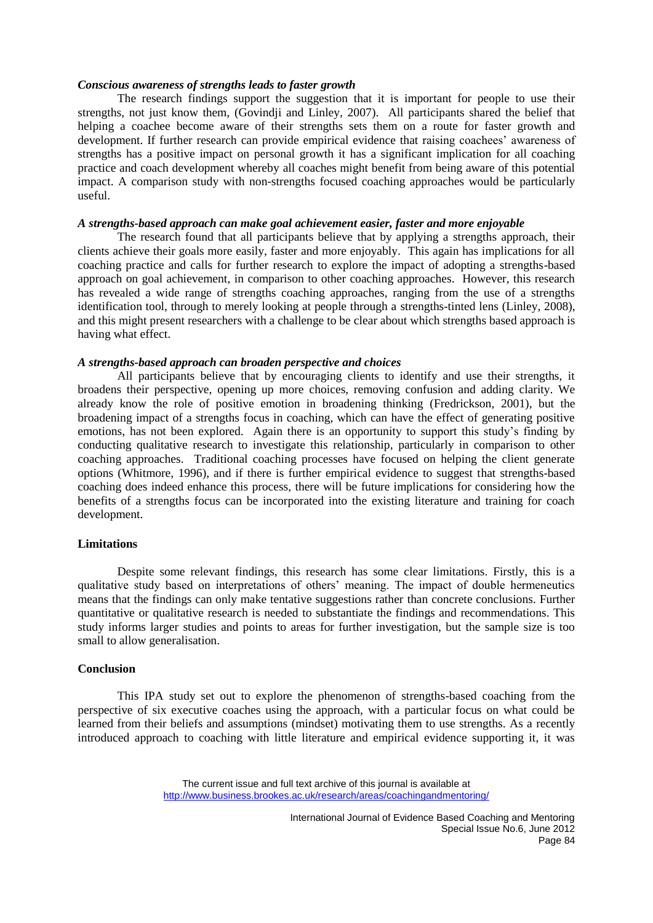## *Conscious awareness of strengths leads to faster growth*

The research findings support the suggestion that it is important for people to use their strengths, not just know them, [\(Govindji and Linley, 2007\)](#page-14-1). All participants shared the belief that helping a coachee become aware of their strengths sets them on a route for faster growth and development. If further research can provide empirical evidence that raising coachees' awareness of strengths has a positive impact on personal growth it has a significant implication for all coaching practice and coach development whereby all coaches might benefit from being aware of this potential impact. A comparison study with non-strengths focused coaching approaches would be particularly useful.

## *A strengths-based approach can make goal achievement easier, faster and more enjoyable*

The research found that all participants believe that by applying a strengths approach, their clients achieve their goals more easily, faster and more enjoyably. This again has implications for all coaching practice and calls for further research to explore the impact of adopting a strengths-based approach on goal achievement, in comparison to other coaching approaches. However, this research has revealed a wide range of strengths coaching approaches, ranging from the use of a strengths identification tool, through to merely looking at people through a strengths-tinted lens [\(Linley, 2008\)](#page-14-0), and this might present researchers with a challenge to be clear about which strengths based approach is having what effect.

#### *A strengths-based approach can broaden perspective and choices*

All participants believe that by encouraging clients to identify and use their strengths, it broadens their perspective, opening up more choices, removing confusion and adding clarity. We already know the role of positive emotion in broadening thinking [\(Fredrickson, 2001\)](#page-14-9), but the broadening impact of a strengths focus in coaching, which can have the effect of generating positive emotions, has not been explored. Again there is an opportunity to support this study's finding by conducting qualitative research to investigate this relationship, particularly in comparison to other coaching approaches. Traditional coaching processes have focused on helping the client generate options [\(Whitmore, 1996\)](#page-15-8), and if there is further empirical evidence to suggest that strengths-based coaching does indeed enhance this process, there will be future implications for considering how the benefits of a strengths focus can be incorporated into the existing literature and training for coach development.

#### **Limitations**

Despite some relevant findings, this research has some clear limitations. Firstly, this is a qualitative study based on interpretations of others' meaning. The impact of double hermeneutics means that the findings can only make tentative suggestions rather than concrete conclusions. Further quantitative or qualitative research is needed to substantiate the findings and recommendations. This study informs larger studies and points to areas for further investigation, but the sample size is too small to allow generalisation.

## **Conclusion**

This IPA study set out to explore the phenomenon of strengths-based coaching from the perspective of six executive coaches using the approach, with a particular focus on what could be learned from their beliefs and assumptions (mindset) motivating them to use strengths. As a recently introduced approach to coaching with little literature and empirical evidence supporting it, it was

> The current issue and full text archive of this journal is available at http://www.business.brookes.ac.uk/research/areas/coachingandmentoring/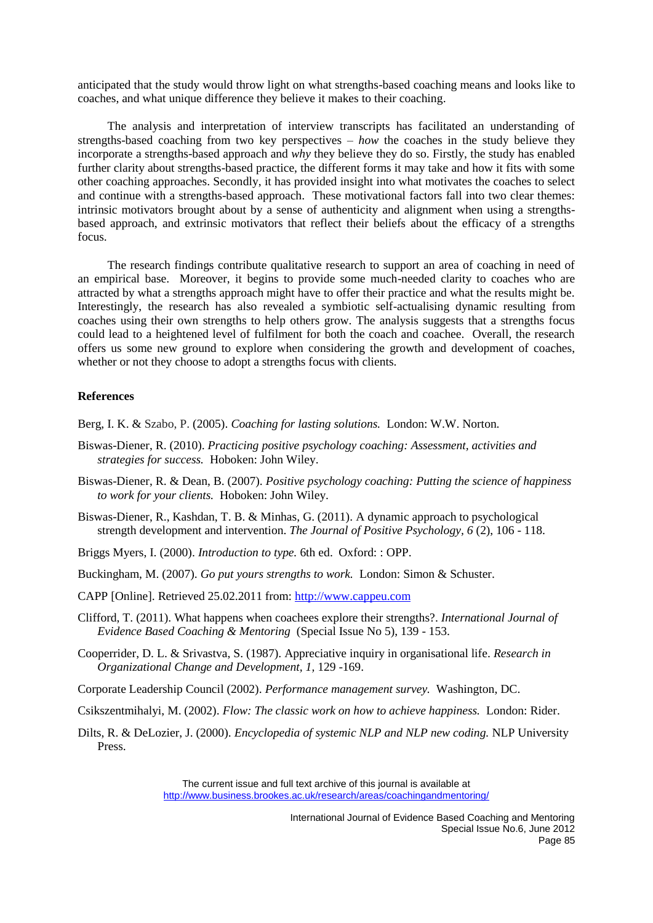anticipated that the study would throw light on what strengths-based coaching means and looks like to coaches, and what unique difference they believe it makes to their coaching.

The analysis and interpretation of interview transcripts has facilitated an understanding of strengths-based coaching from two key perspectives – *how* the coaches in the study believe they incorporate a strengths-based approach and *why* they believe they do so. Firstly, the study has enabled further clarity about strengths-based practice, the different forms it may take and how it fits with some other coaching approaches. Secondly, it has provided insight into what motivates the coaches to select and continue with a strengths-based approach. These motivational factors fall into two clear themes: intrinsic motivators brought about by a sense of authenticity and alignment when using a strengthsbased approach, and extrinsic motivators that reflect their beliefs about the efficacy of a strengths focus.

The research findings contribute qualitative research to support an area of coaching in need of an empirical base. Moreover, it begins to provide some much-needed clarity to coaches who are attracted by what a strengths approach might have to offer their practice and what the results might be. Interestingly, the research has also revealed a symbiotic self-actualising dynamic resulting from coaches using their own strengths to help others grow. The analysis suggests that a strengths focus could lead to a heightened level of fulfilment for both the coach and coachee. Overall, the research offers us some new ground to explore when considering the growth and development of coaches, whether or not they choose to adopt a strengths focus with clients.

#### **References**

<span id="page-13-5"></span>Berg, I. K. & Szabo, P. (2005). *Coaching for lasting solutions.* London: W.W. Norton.

- <span id="page-13-1"></span>Biswas-Diener, R. (2010). *Practicing positive psychology coaching: Assessment, activities and strategies for success.* Hoboken: John Wiley.
- <span id="page-13-2"></span>Biswas-Diener, R. & Dean, B. (2007). *Positive psychology coaching: Putting the science of happiness to work for your clients.* Hoboken: John Wiley.
- <span id="page-13-4"></span>Biswas-Diener, R., Kashdan, T. B. & Minhas, G. (2011). A dynamic approach to psychological strength development and intervention. *The Journal of Positive Psychology, 6* (2), 106 - 118.
- <span id="page-13-6"></span>Briggs Myers, I. (2000). *Introduction to type.* 6th ed. Oxford: : OPP.
- <span id="page-13-9"></span>Buckingham, M. (2007). *Go put yours strengths to work.* London: Simon & Schuster.
- <span id="page-13-10"></span>CAPP [Online]. Retrieved 25.02.2011 from: [http://www.cappeu.com](http://www.cappeu.com/)
- <span id="page-13-3"></span>Clifford, T. (2011). What happens when coachees explore their strengths?. *International Journal of Evidence Based Coaching & Mentoring* (Special Issue No 5), 139 - 153.
- <span id="page-13-8"></span>Cooperrider, D. L. & Srivastva, S. (1987). Appreciative inquiry in organisational life. *Research in Organizational Change and Development, 1,* 129 -169.
- <span id="page-13-0"></span>Corporate Leadership Council (2002). *Performance management survey.* Washington, DC.
- <span id="page-13-11"></span>Csikszentmihalyi, M. (2002). *Flow: The classic work on how to achieve happiness.* London: Rider.
- <span id="page-13-7"></span>Dilts, R. & DeLozier, J. (2000). *Encyclopedia of systemic NLP and NLP new coding.* NLP University Press.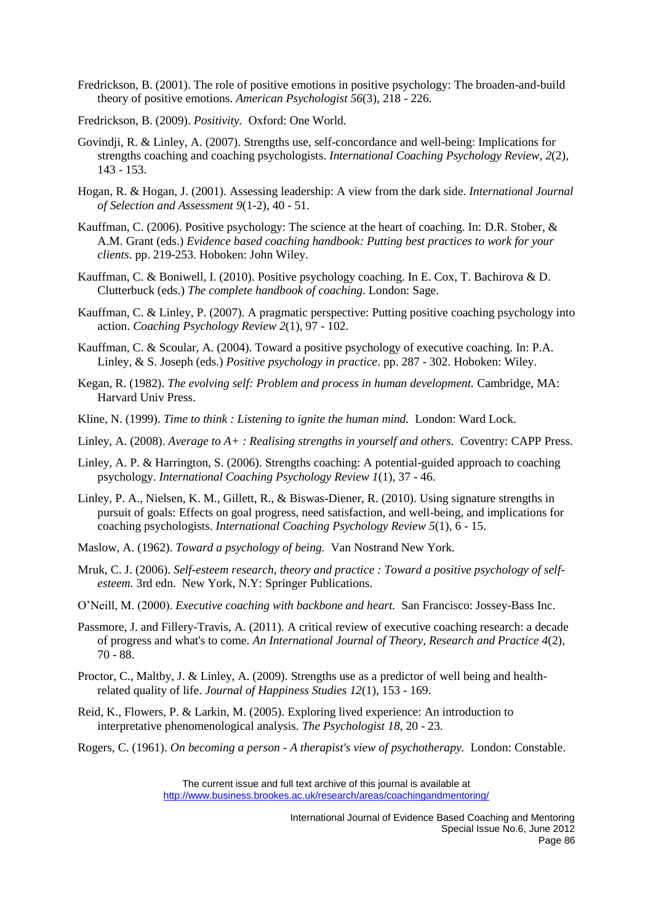- <span id="page-14-9"></span>Fredrickson, B. (2001). The role of positive emotions in positive psychology: The broaden-and-build theory of positive emotions. *American Psychologist 56*(3), 218 - 226.
- <span id="page-14-15"></span>Fredrickson, B. (2009). *Positivity.* Oxford: One World.
- <span id="page-14-1"></span>Govindji, R. & Linley, A. (2007). Strengths use, self-concordance and well-being: Implications for strengths coaching and coaching psychologists. *International Coaching Psychology Review, 2*(2), 143 - 153.
- <span id="page-14-12"></span>Hogan, R. & Hogan, J. (2001). Assessing leadership: A view from the dark side. *International Journal of Selection and Assessment 9*(1-2), 40 - 51.
- <span id="page-14-8"></span>Kauffman, C. (2006). Positive psychology: The science at the heart of coaching. In: D.R. Stober, & A.M. Grant (eds.) *Evidence based coaching handbook: Putting best practices to work for your clients*. pp. 219-253. Hoboken: John Wiley.
- <span id="page-14-10"></span>Kauffman, C. & Boniwell, I. (2010). Positive psychology coaching. In E. Cox, T. Bachirova & D. Clutterbuck (eds.) *The complete handbook of coaching*. London: Sage.
- <span id="page-14-11"></span>Kauffman, C. & Linley, P. (2007). A pragmatic perspective: Putting positive coaching psychology into action. *Coaching Psychology Review 2*(1), 97 - 102.
- <span id="page-14-14"></span>Kauffman, C. & Scoular, A. (2004). Toward a positive psychology of executive coaching. In: P.A. Linley, & S. Joseph (eds.) *Positive psychology in practice*. pp. 287 - 302. Hoboken: Wiley.
- <span id="page-14-16"></span>Kegan, R. (1982). *The evolving self: Problem and process in human development.* Cambridge, MA: Harvard Univ Press.
- <span id="page-14-13"></span><span id="page-14-3"></span>Kline, N. (1999). *Time to think : Listening to ignite the human mind.* London: Ward Lock.
- <span id="page-14-0"></span>Linley, A. (2008). *Average to A+ : Realising strengths in yourself and others.* Coventry: CAPP Press.
- Linley, A. P. & Harrington, S. (2006). Strengths coaching: A potential-guided approach to coaching psychology. *International Coaching Psychology Review 1*(1), 37 - 46.
- <span id="page-14-2"></span>Linley, P. A., Nielsen, K. M., Gillett, R., & Biswas-Diener, R. (2010). Using signature strengths in pursuit of goals: Effects on goal progress, need satisfaction, and well-being, and implications for coaching psychologists. *International Coaching Psychology Review 5*(1), 6 - 15.
- <span id="page-14-6"></span>Maslow, A. (1962). *Toward a psychology of being.* Van Nostrand New York.
- Mruk, C. J. (2006). *Self-esteem research, theory and practice : Toward a positive psychology of selfesteem.* 3rd edn. New York, N.Y: Springer Publications.
- O'Neill, M. (2000). *Executive coaching with backbone and heart.* San Francisco: Jossey-Bass Inc.
- <span id="page-14-7"></span>Passmore, J. and Fillery-Travis, A. (2011). A critical review of executive coaching research: a decade of progress and what's to come. *An International Journal of Theory, Research and Practice 4*(2), 70 - 88.
- <span id="page-14-17"></span>Proctor, C., Maltby, J. & Linley, A. (2009). Strengths use as a predictor of well being and healthrelated quality of life. *Journal of Happiness Studies 12*(1), 153 - 169.
- <span id="page-14-4"></span>Reid, K., Flowers, P. & Larkin, M. (2005). Exploring lived experience: An introduction to interpretative phenomenological analysis. *The Psychologist 18*, 20 - 23.
- <span id="page-14-5"></span>Rogers, C. (1961). *On becoming a person - A therapist's view of psychotherapy.* London: Constable.

The current issue and full text archive of this journal is available at http://www.business.brookes.ac.uk/research/areas/coachingandmentoring/